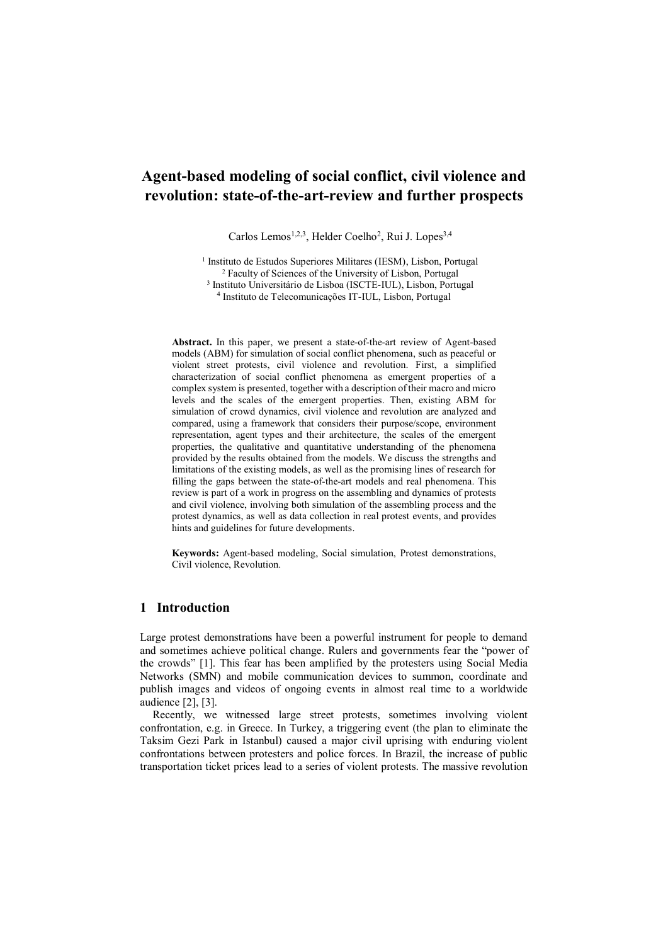# **Agent-based modeling of social conflict, civil violence and revolution: state-of-the-art-review and further prospects**

Carlos Lemos<sup>1,2,3</sup>, Helder Coelho<sup>2</sup>, Rui J. Lopes<sup>3,4</sup>

<sup>1</sup> Instituto de Estudos Superiores Militares (IESM), Lisbon, Portugal Faculty of Sciences of the University of Lisbon, Portugal Instituto Universitário de Lisboa (ISCTE-IUL), Lisbon, Portugal Instituto de Telecomunicações IT-IUL, Lisbon, Portugal

**Abstract.** In this paper, we present a state-of-the-art review of Agent-based models (ABM) for simulation of social conflict phenomena, such as peaceful or violent street protests, civil violence and revolution. First, a simplified characterization of social conflict phenomena as emergent properties of a complex system is presented, together with a description of their macro and micro levels and the scales of the emergent properties. Then, existing ABM for simulation of crowd dynamics, civil violence and revolution are analyzed and compared, using a framework that considers their purpose/scope, environment representation, agent types and their architecture, the scales of the emergent properties, the qualitative and quantitative understanding of the phenomena provided by the results obtained from the models. We discuss the strengths and limitations of the existing models, as well as the promising lines of research for filling the gaps between the state-of-the-art models and real phenomena. This review is part of a work in progress on the assembling and dynamics of protests and civil violence, involving both simulation of the assembling process and the protest dynamics, as well as data collection in real protest events, and provides hints and guidelines for future developments.

**Keywords:** Agent-based modeling, Social simulation, Protest demonstrations, Civil violence, Revolution.

## **1 Introduction**

Large protest demonstrations have been a powerful instrument for people to demand and sometimes achieve political change. Rulers and governments fear the "power of the crowds" [1]. This fear has been amplified by the protesters using Social Media Networks (SMN) and mobile communication devices to summon, coordinate and publish images and videos of ongoing events in almost real time to a worldwide audience [2], [3].

Recently, we witnessed large street protests, sometimes involving violent confrontation, e.g. in Greece. In Turkey, a triggering event (the plan to eliminate the Taksim Gezi Park in Istanbul) caused a major civil uprising with enduring violent confrontations between protesters and police forces. In Brazil, the increase of public transportation ticket prices lead to a series of violent protests. The massive revolution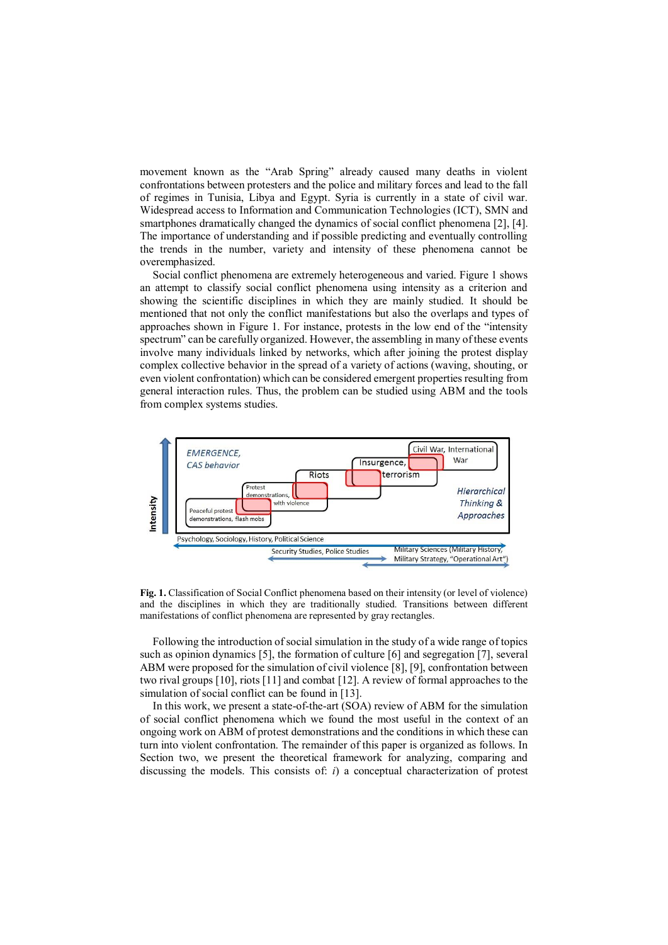movement known as the "Arab Spring" already caused many deaths in violent confrontations between protesters and the police and military forces and lead to the fall of regimes in Tunisia, Libya and Egypt. Syria is currently in a state of civil war. Widespread access to Information and Communication Technologies (ICT), SMN and smartphones dramatically changed the dynamics of social conflict phenomena [2], [4]. The importance of understanding and if possible predicting and eventually controlling the trends in the number, variety and intensity of these phenomena cannot be overemphasized.

Social conflict phenomena are extremely heterogeneous and varied. Figure 1 shows an attempt to classify social conflict phenomena using intensity as a criterion and showing the scientific disciplines in which they are mainly studied. It should be mentioned that not only the conflict manifestations but also the overlaps and types of approaches shown in Figure 1. For instance, protests in the low end of the "intensity spectrum" can be carefully organized. However, the assembling in many of these events involve many individuals linked by networks, which after joining the protest display complex collective behavior in the spread of a variety of actions (waving, shouting, or even violent confrontation) which can be considered emergent properties resulting from general interaction rules. Thus, the problem can be studied using ABM and the tools from complex systems studies.



**Fig. 1.** Classification of Social Conflict phenomena based on their intensity (or level of violence) and the disciplines in which they are traditionally studied. Transitions between different manifestations of conflict phenomena are represented by gray rectangles.

Following the introduction of social simulation in the study of a wide range of topics such as opinion dynamics [5], the formation of culture [6] and segregation [7], several ABM were proposed for the simulation of civil violence [8], [9], confrontation between two rival groups [10], riots [11] and combat [12]. A review of formal approaches to the simulation of social conflict can be found in [13].

In this work, we present a state-of-the-art (SOA) review of ABM for the simulation of social conflict phenomena which we found the most useful in the context of an ongoing work on ABM of protest demonstrations and the conditions in which these can turn into violent confrontation. The remainder of this paper is organized as follows. In Section two, we present the theoretical framework for analyzing, comparing and discussing the models. This consists of: *i*) a conceptual characterization of protest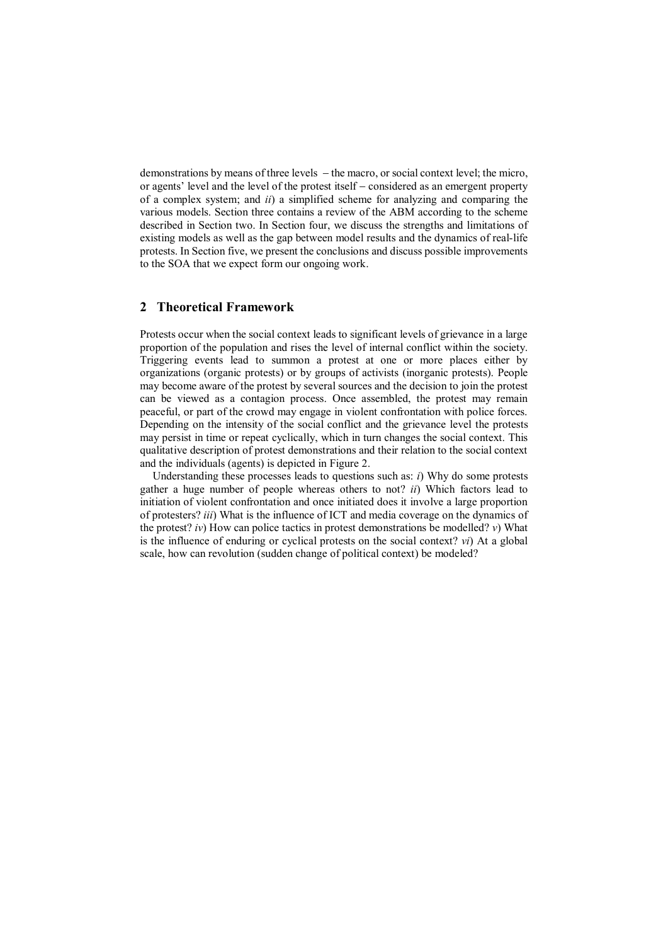demonstrations by means of three levels  $-$  the macro, or social context level; the micro, or agents' level and the level of the protest itself – considered as an emergent property of a complex system; and *ii*) a simplified scheme for analyzing and comparing the various models. Section three contains a review of the ABM according to the scheme described in Section two. In Section four, we discuss the strengths and limitations of existing models as well as the gap between model results and the dynamics of real-life protests. In Section five, we present the conclusions and discuss possible improvements to the SOA that we expect form our ongoing work.

# **2 Theoretical Framework**

Protests occur when the social context leads to significant levels of grievance in a large proportion of the population and rises the level of internal conflict within the society. Triggering events lead to summon a protest at one or more places either by organizations (organic protests) or by groups of activists (inorganic protests). People may become aware of the protest by several sources and the decision to join the protest can be viewed as a contagion process. Once assembled, the protest may remain peaceful, or part of the crowd may engage in violent confrontation with police forces. Depending on the intensity of the social conflict and the grievance level the protests may persist in time or repeat cyclically, which in turn changes the social context. This qualitative description of protest demonstrations and their relation to the social context and the individuals (agents) is depicted in Figure 2.

Understanding these processes leads to questions such as: *i*) Why do some protests gather a huge number of people whereas others to not? *ii*) Which factors lead to initiation of violent confrontation and once initiated does it involve a large proportion of protesters? *iii*) What is the influence of ICT and media coverage on the dynamics of the protest? *iv*) How can police tactics in protest demonstrations be modelled? *v*) What is the influence of enduring or cyclical protests on the social context? *vi*) At a global scale, how can revolution (sudden change of political context) be modeled?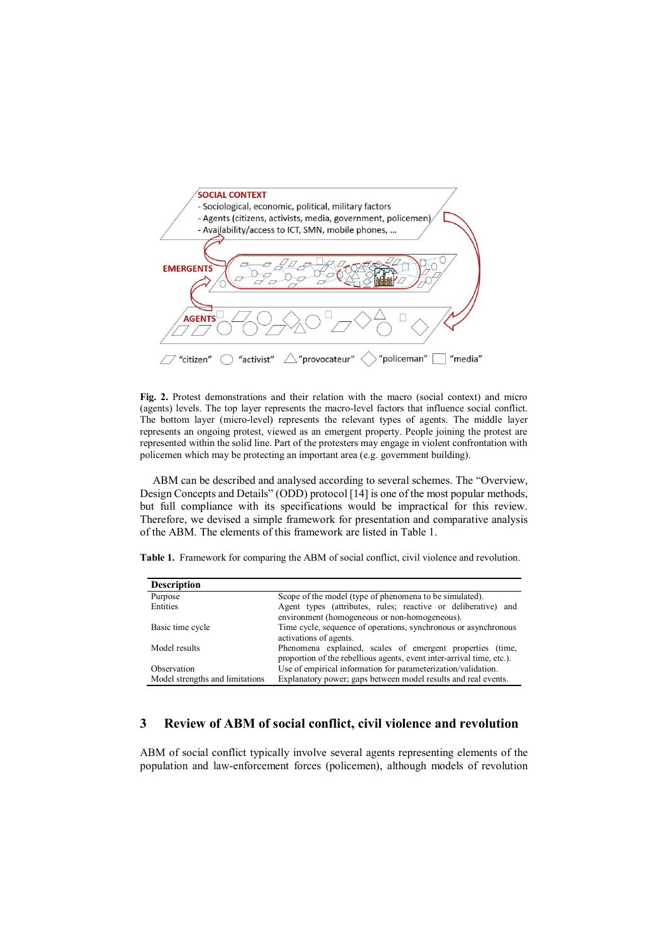

**Fig. 2.** Protest demonstrations and their relation with the macro (social context) and micro (agents) levels. The top layer represents the macro-level factors that influence social conflict. The bottom layer (micro-level) represents the relevant types of agents. The middle layer represents an ongoing protest, viewed as an emergent property. People joining the protest are represented within the solid line. Part of the protesters may engage in violent confrontation with policemen which may be protecting an important area (e.g. government building).

ABM can be described and analysed according to several schemes. The "Overview, Design Concepts and Details" (ODD) protocol [14] is one of the most popular methods, but full compliance with its specifications would be impractical for this review. Therefore, we devised a simple framework for presentation and comparative analysis of the ABM. The elements of this framework are listed in Table 1.

**Table 1.** Framework for comparing the ABM of social conflict, civil violence and revolution.

| <b>Description</b>              |                                                                       |  |  |  |  |  |
|---------------------------------|-----------------------------------------------------------------------|--|--|--|--|--|
| Purpose                         | Scope of the model (type of phenomena to be simulated).               |  |  |  |  |  |
| Entities                        | Agent types (attributes, rules; reactive or deliberative) and         |  |  |  |  |  |
|                                 | environment (homogeneous or non-homogeneous).                         |  |  |  |  |  |
| Basic time cycle                | Time cycle, sequence of operations, synchronous or asynchronous       |  |  |  |  |  |
|                                 | activations of agents.                                                |  |  |  |  |  |
| Model results                   | Phenomena explained, scales of emergent properties (time,             |  |  |  |  |  |
|                                 | proportion of the rebellious agents, event inter-arrival time, etc.). |  |  |  |  |  |
| Observation                     | Use of empirical information for parameterization/validation.         |  |  |  |  |  |
| Model strengths and limitations | Explanatory power; gaps between model results and real events.        |  |  |  |  |  |

# **3 Review of ABM of social conflict, civil violence and revolution**

ABM of social conflict typically involve several agents representing elements of the population and law-enforcement forces (policemen), although models of revolution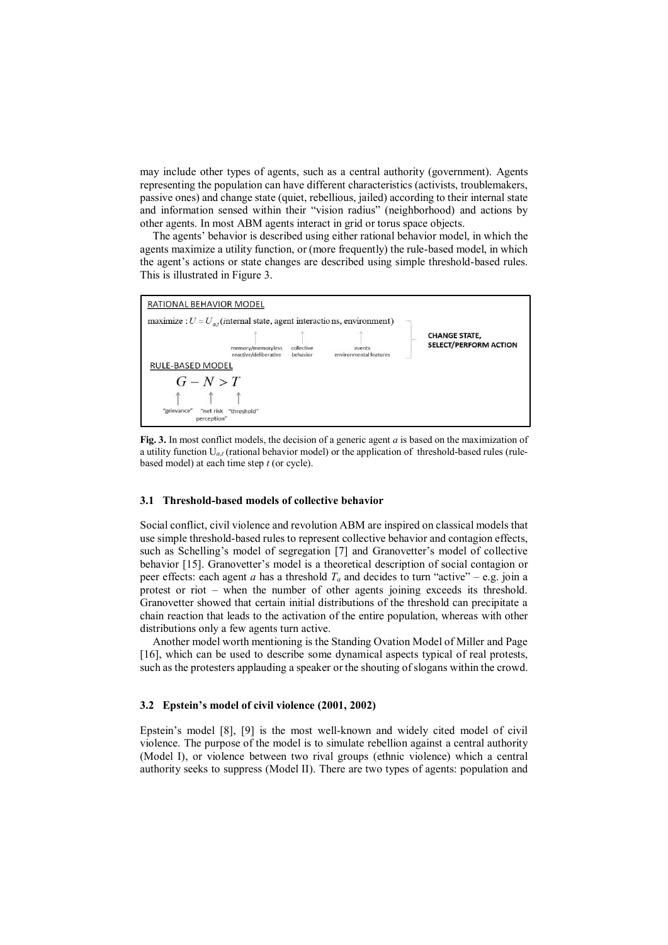may include other types of agents, such as a central authority (government). Agents representing the population can have different characteristics (activists, troublemakers, passive ones) and change state (quiet, rebellious, jailed) according to their internal state and information sensed within their "vision radius" (neighborhood) and actions by other agents. In most ABM agents interact in grid or torus space objects.

The agents' behavior is described using either rational behavior model, in which the agents maximize a utility function, or (more frequently) the rule-based model, in which the agent's actions or state changes are described using simple threshold-based rules. This is illustrated in Figure 3.





#### **3.1 Threshold-based models of collective behavior**

Social conflict, civil violence and revolution ABM are inspired on classical models that use simple threshold-based rules to represent collective behavior and contagion effects, such as Schelling's model of segregation [7] and Granovetter's model of collective behavior [15]. Granovetter's model is a theoretical description of social contagion or peer effects: each agent *a* has a threshold  $T_a$  and decides to turn "active" – e.g. join a protest or riot – when the number of other agents joining exceeds its threshold. Granovetter showed that certain initial distributions of the threshold can precipitate a chain reaction that leads to the activation of the entire population, whereas with other distributions only a few agents turn active.

Another model worth mentioning is the Standing Ovation Model of Miller and Page [16], which can be used to describe some dynamical aspects typical of real protests, such as the protesters applauding a speaker or the shouting of slogans within the crowd.

#### **3.2 Epstein's model of civil violence (2001, 2002)**

Epstein's model [8], [9] is the most well-known and widely cited model of civil violence. The purpose of the model is to simulate rebellion against a central authority (Model I), or violence between two rival groups (ethnic violence) which a central authority seeks to suppress (Model II). There are two types of agents: population and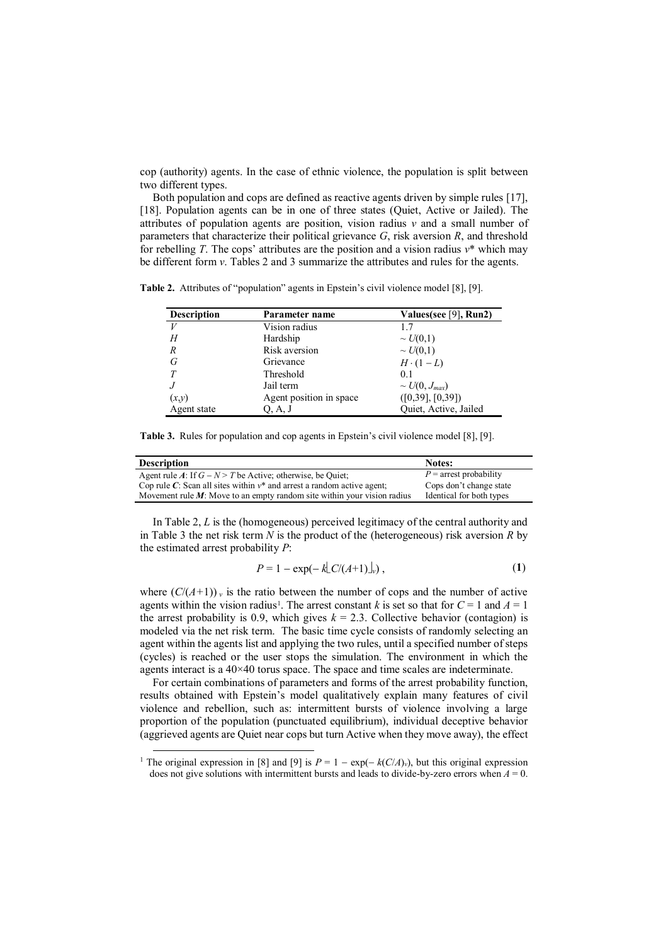cop (authority) agents. In the case of ethnic violence, the population is split between two different types.

Both population and cops are defined as reactive agents driven by simple rules [17], [18]. Population agents can be in one of three states (Quiet, Active or Jailed). The attributes of population agents are position, vision radius  $\nu$  and a small number of parameters that characterize their political grievance *G*, risk aversion *R*, and threshold for rebelling *T*. The cops' attributes are the position and a vision radius *v*\* which may be different form *v*. Tables 2 and 3 summarize the attributes and rules for the agents.

**Table 2.** Attributes of "population" agents in Epstein's civil violence model [8], [9].

| <b>Description</b> | Parameter name          | Values(see [9], Run2) |  |  |
|--------------------|-------------------------|-----------------------|--|--|
| $\boldsymbol{V}$   | Vision radius           |                       |  |  |
| H                  | Hardship                | $\sim U(0,1)$         |  |  |
| R                  | Risk aversion           | $\sim U(0,1)$         |  |  |
| G                  | Grievance               | $H \cdot (1 - L)$     |  |  |
| T                  | Threshold               | 0.1                   |  |  |
|                    | Jail term               | $\sim U(0, J_{max})$  |  |  |
| (x,y)              | Agent position in space | ([0,39], [0,39])      |  |  |
| Agent state        | Q, A, J                 | Quiet, Active, Jailed |  |  |

**Table 3.** Rules for population and cop agents in Epstein's civil violence model [8], [9].

| <b>Description</b>                                                         | Notes:                   |
|----------------------------------------------------------------------------|--------------------------|
| Agent rule A: If $G - N > T$ be Active; otherwise, be Quiet;               | $P =$ arrest probability |
| Cop rule C: Scan all sites within $v^*$ and arrest a random active agent;  | Cops don't change state  |
| Movement rule $M$ : Move to an empty random site within your vision radius | Identical for both types |

In Table 2, *L* is the (homogeneous) perceived legitimacy of the central authority and in Table 3 the net risk term *N* is the product of the (heterogeneous) risk aversion *R* by the estimated arrest probability *P*:

$$
P = 1 - \exp(-k\lfloor C/(A+1)\rfloor_v),\tag{1}
$$

where  $(C/(A+1))$  v is the ratio between the number of cops and the number of active agents within the vision radius<sup>1</sup>. The arrest constant *k* is set so that for  $C = 1$  and  $A = 1$ the arrest probability is 0.9, which gives  $k = 2.3$ . Collective behavior (contagion) is modeled via the net risk term. The basic time cycle consists of randomly selecting an agent within the agents list and applying the two rules, until a specified number of steps (cycles) is reached or the user stops the simulation. The environment in which the agents interact is a 40×40 torus space. The space and time scales are indeterminate.

For certain combinations of parameters and forms of the arrest probability function, results obtained with Epstein's model qualitatively explain many features of civil violence and rebellion, such as: intermittent bursts of violence involving a large proportion of the population (punctuated equilibrium), individual deceptive behavior (aggrieved agents are Quiet near cops but turn Active when they move away), the effect

 $\overline{a}$ 

<sup>&</sup>lt;sup>1</sup> The original expression in [8] and [9] is  $P = 1 - \exp(-k(C/A)_v)$ , but this original expression does not give solutions with intermittent bursts and leads to divide-by-zero errors when  $A = 0$ .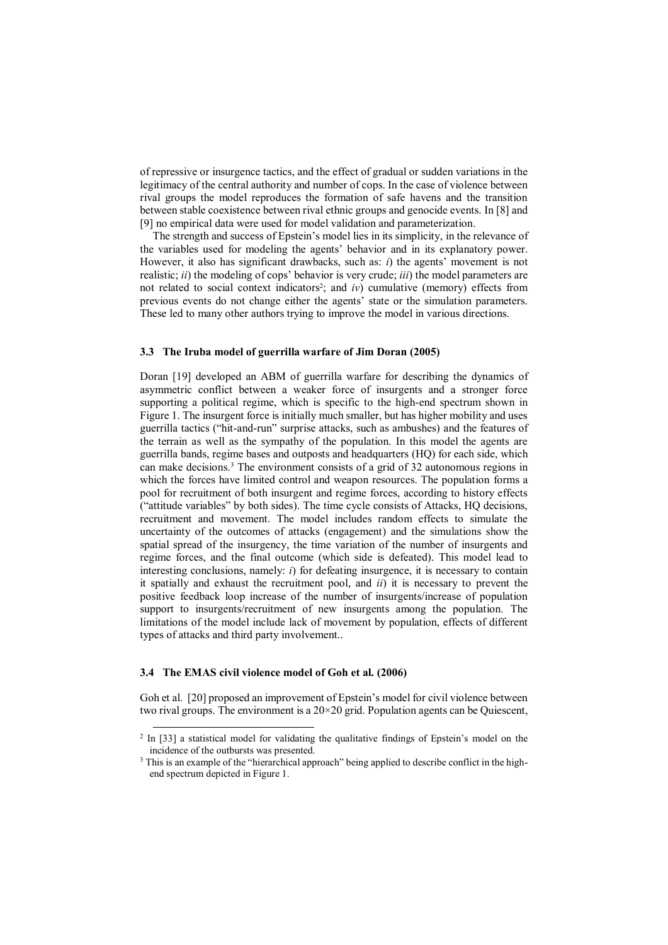of repressive or insurgence tactics, and the effect of gradual or sudden variations in the legitimacy of the central authority and number of cops. In the case of violence between rival groups the model reproduces the formation of safe havens and the transition between stable coexistence between rival ethnic groups and genocide events. In [8] and [9] no empirical data were used for model validation and parameterization.

The strength and success of Epstein's model lies in its simplicity, in the relevance of the variables used for modeling the agents' behavior and in its explanatory power. However, it also has significant drawbacks, such as: *i*) the agents' movement is not realistic; *ii*) the modeling of cops' behavior is very crude; *iii*) the model parameters are not related to social context indicators<sup>2</sup>; and  $iv$ ) cumulative (memory) effects from previous events do not change either the agents' state or the simulation parameters. These led to many other authors trying to improve the model in various directions.

### **3.3 The Iruba model of guerrilla warfare of Jim Doran (2005)**

Doran [19] developed an ABM of guerrilla warfare for describing the dynamics of asymmetric conflict between a weaker force of insurgents and a stronger force supporting a political regime, which is specific to the high-end spectrum shown in Figure 1. The insurgent force is initially much smaller, but has higher mobility and uses guerrilla tactics ("hit-and-run" surprise attacks, such as ambushes) and the features of the terrain as well as the sympathy of the population. In this model the agents are guerrilla bands, regime bases and outposts and headquarters (HQ) for each side, which can make decisions.<sup>3</sup> The environment consists of a grid of 32 autonomous regions in which the forces have limited control and weapon resources. The population forms a pool for recruitment of both insurgent and regime forces, according to history effects ("attitude variables" by both sides). The time cycle consists of Attacks, HQ decisions, recruitment and movement. The model includes random effects to simulate the uncertainty of the outcomes of attacks (engagement) and the simulations show the spatial spread of the insurgency, the time variation of the number of insurgents and regime forces, and the final outcome (which side is defeated). This model lead to interesting conclusions, namely: *i*) for defeating insurgence, it is necessary to contain it spatially and exhaust the recruitment pool, and *ii*) it is necessary to prevent the positive feedback loop increase of the number of insurgents/increase of population support to insurgents/recruitment of new insurgents among the population. The limitations of the model include lack of movement by population, effects of different types of attacks and third party involvement..

### **3.4 The EMAS civil violence model of Goh et al. (2006)**

 $\overline{\phantom{a}}$ 

Goh et al. [20] proposed an improvement of Epstein's model for civil violence between two rival groups. The environment is a  $20\times20$  grid. Population agents can be Quiescent,

<sup>&</sup>lt;sup>2</sup> In [33] a statistical model for validating the qualitative findings of Epstein's model on the incidence of the outbursts was presented.

 $3$  This is an example of the "hierarchical approach" being applied to describe conflict in the highend spectrum depicted in Figure 1.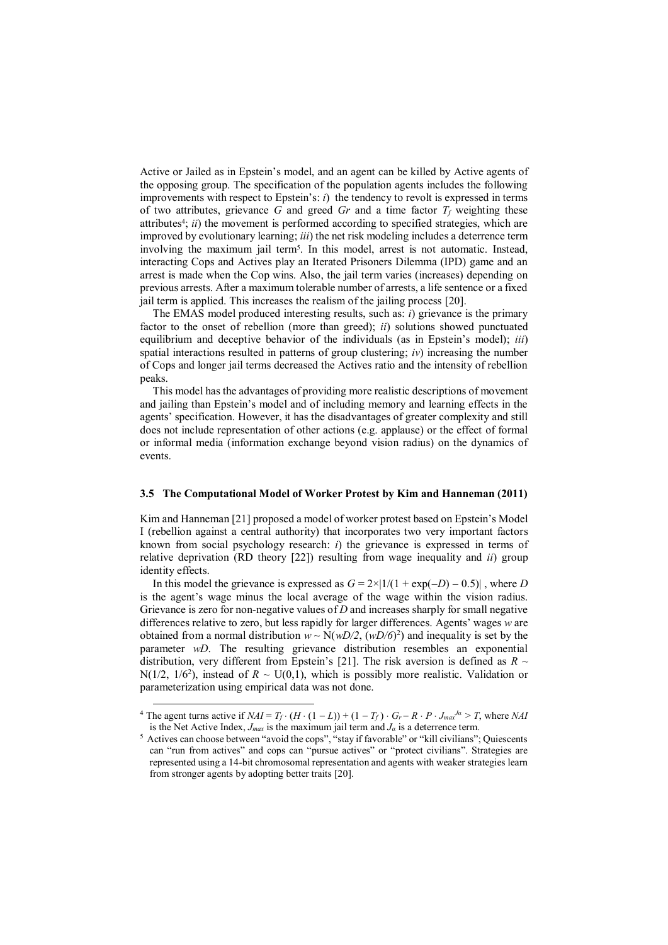Active or Jailed as in Epstein's model, and an agent can be killed by Active agents of the opposing group. The specification of the population agents includes the following improvements with respect to Epstein's: *i*) the tendency to revolt is expressed in terms of two attributes, grievance G and greed  $Gr$  and a time factor  $T_f$  weighting these attributes<sup>4</sup>; *ii*) the movement is performed according to specified strategies, which are improved by evolutionary learning; *iii*) the net risk modeling includes a deterrence term involving the maximum jail term<sup>5</sup>. In this model, arrest is not automatic. Instead, interacting Cops and Actives play an Iterated Prisoners Dilemma (IPD) game and an arrest is made when the Cop wins. Also, the jail term varies (increases) depending on previous arrests. After a maximum tolerable number of arrests, a life sentence or a fixed jail term is applied. This increases the realism of the jailing process [20].

The EMAS model produced interesting results, such as: *i*) grievance is the primary factor to the onset of rebellion (more than greed); *ii*) solutions showed punctuated equilibrium and deceptive behavior of the individuals (as in Epstein's model); *iii*) spatial interactions resulted in patterns of group clustering;  $iv$ ) increasing the number of Cops and longer jail terms decreased the Actives ratio and the intensity of rebellion peaks.

This model has the advantages of providing more realistic descriptions of movement and jailing than Epstein's model and of including memory and learning effects in the agents' specification. However, it has the disadvantages of greater complexity and still does not include representation of other actions (e.g. applause) or the effect of formal or informal media (information exchange beyond vision radius) on the dynamics of events.

#### **3.5 The Computational Model of Worker Protest by Kim and Hanneman (2011)**

Kim and Hanneman [21] proposed a model of worker protest based on Epstein's Model I (rebellion against a central authority) that incorporates two very important factors known from social psychology research: *i*) the grievance is expressed in terms of relative deprivation (RD theory [22]) resulting from wage inequality and *ii*) group identity effects.

In this model the grievance is expressed as  $G = 2 \times |1/(1 + \exp(-D) - 0.5)|$ , where *D* is the agent's wage minus the local average of the wage within the vision radius. Grievance is zero for non-negative values of *D* and increases sharply for small negative differences relative to zero, but less rapidly for larger differences. Agents' wages *w* are obtained from a normal distribution  $w \sim N(wD/2, (wD/6)^2)$  and inequality is set by the parameter *wD*. The resulting grievance distribution resembles an exponential distribution, very different from Epstein's [21]. The risk aversion is defined as  $R \sim$ N( $1/2$ ,  $1/6<sup>2</sup>$ ), instead of  $R \sim U(0,1)$ , which is possibly more realistic. Validation or parameterization using empirical data was not done.

 $\overline{a}$ 

<sup>&</sup>lt;sup>4</sup> The agent turns active if  $NAI = T_f \cdot (H \cdot (1 - L)) + (1 - T_f) \cdot G_r - R \cdot P \cdot J_{max}^{J\alpha} > T$ , where *NAI* is the Net Active Index,  $J_{max}$  is the maximum jail term and  $J_{\alpha}$  is a deterrence term.

<sup>&</sup>lt;sup>5</sup> Actives can choose between "avoid the cops", "stay if favorable" or "kill civilians"; Quiescents can "run from actives" and cops can "pursue actives" or "protect civilians". Strategies are represented using a 14-bit chromosomal representation and agents with weaker strategies learn from stronger agents by adopting better traits [20].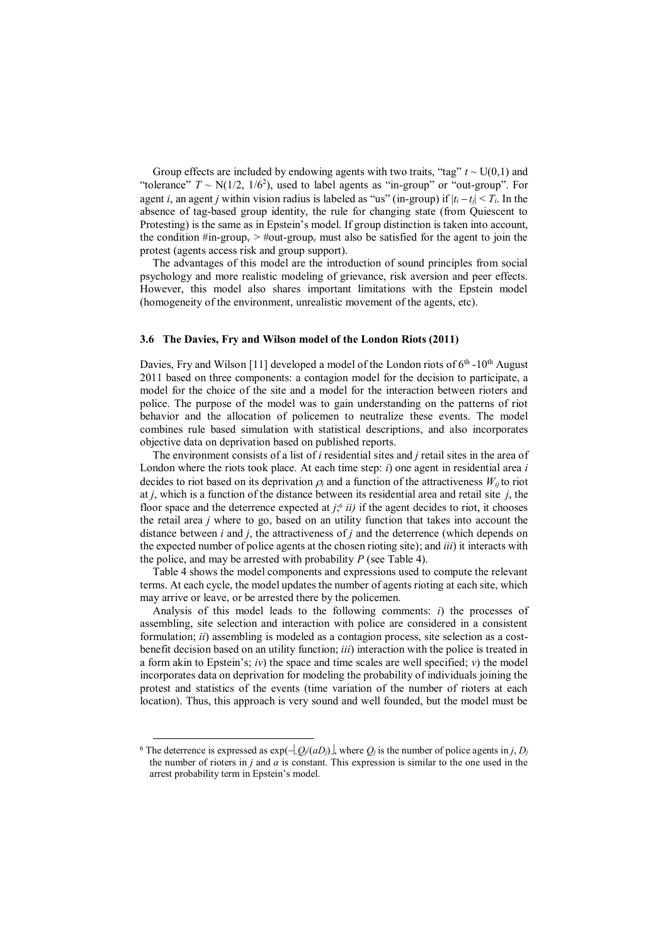Group effects are included by endowing agents with two traits, "tag"  $t \sim U(0,1)$  and "tolerance"  $T \sim N(1/2, 1/6^2)$ , used to label agents as "in-group" or "out-group". For agent *i*, an agent *j* within vision radius is labeled as "us" (in-group) if  $|t_i - t_j| < T_i$ . In the absence of tag-based group identity, the rule for changing state (from Quiescent to Protesting) is the same as in Epstein's model. If group distinction is taken into account, the condition  $\#\text{in-group}_v > \#\text{out-group}_v$  must also be satisfied for the agent to join the protest (agents access risk and group support).

The advantages of this model are the introduction of sound principles from social psychology and more realistic modeling of grievance, risk aversion and peer effects. However, this model also shares important limitations with the Epstein model (homogeneity of the environment, unrealistic movement of the agents, etc).

#### **3.6 The Davies, Fry and Wilson model of the London Riots (2011)**

Davies, Fry and Wilson [11] developed a model of the London riots of  $6<sup>th</sup>$ -10<sup>th</sup> August 2011 based on three components: a contagion model for the decision to participate, a model for the choice of the site and a model for the interaction between rioters and police. The purpose of the model was to gain understanding on the patterns of riot behavior and the allocation of policemen to neutralize these events. The model combines rule based simulation with statistical descriptions, and also incorporates objective data on deprivation based on published reports.

The environment consists of a list of *i* residential sites and *j* retail sites in the area of London where the riots took place. At each time step: *i*) one agent in residential area *i* decides to riot based on its deprivation  $\rho_i$  and a function of the attractiveness  $W_{ii}$  to riot at *j*, which is a function of the distance between its residential area and retail site *j*, the floor space and the deterrence expected at  $j$ <sup>6</sup>;<sup>6</sup> ii) if the agent decides to riot, it chooses the retail area *j* where to go, based on an utility function that takes into account the distance between *i* and *j*, the attractiveness of *j* and the deterrence (which depends on the expected number of police agents at the chosen rioting site); and *iii*) it interacts with the police, and may be arrested with probability *P* (see Table 4).

Table 4 shows the model components and expressions used to compute the relevant terms. At each cycle, the model updates the number of agents rioting at each site, which may arrive or leave, or be arrested there by the policemen.

Analysis of this model leads to the following comments: *i*) the processes of assembling, site selection and interaction with police are considered in a consistent formulation; *ii*) assembling is modeled as a contagion process, site selection as a costbenefit decision based on an utility function; *iii*) interaction with the police is treated in a form akin to Epstein's; *iv*) the space and time scales are well specified; *v*) the model incorporates data on deprivation for modeling the probability of individuals joining the protest and statistics of the events (time variation of the number of rioters at each location). Thus, this approach is very sound and well founded, but the model must be

 $\overline{\phantom{a}}$ 

<sup>&</sup>lt;sup>6</sup> The deterrence is expressed as  $exp(-Q/(aD)$ , where  $Q_i$  is the number of police agents in *j*,  $D_i$ the number of rioters in *j* and *a* is constant. This expression is similar to the one used in the arrest probability term in Epstein's model.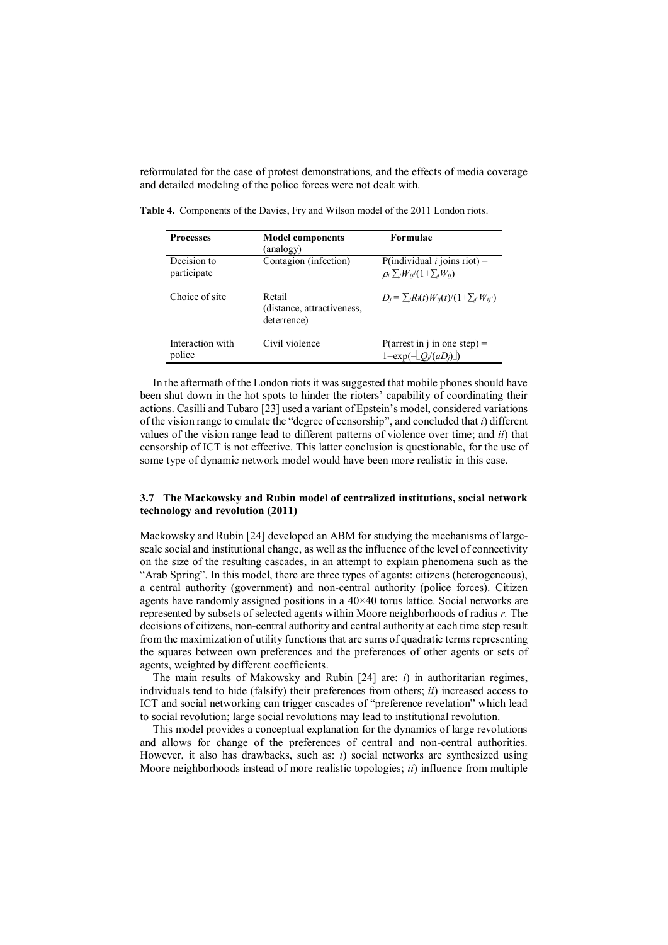reformulated for the case of protest demonstrations, and the effects of media coverage and detailed modeling of the police forces were not dealt with.

| <b>Processes</b>           | <b>Model components</b><br>(analogy)                | <b>Formulae</b>                                                                      |
|----------------------------|-----------------------------------------------------|--------------------------------------------------------------------------------------|
| Decision to<br>participate | Contagion (infection)                               | P(individual <i>i</i> joins riot) =<br>$\rho_i \sum_i W_{ij} / (1 + \sum_i W_{ij})$  |
| Choice of site             | Retail<br>(distance, attractiveness,<br>deterrence) | $D_i = \sum_i R_i(t) W_{ii}(t) / (1 + \sum_i W_{ii})$                                |
| Interaction with<br>police | Civil violence                                      | $P(\text{arrest in } i \text{ in one step}) =$<br>$1-\exp(-\left[Q_i/(aD_i)\right])$ |

**Table 4.** Components of the Davies, Fry and Wilson model of the 2011 London riots.

In the aftermath of the London riots it was suggested that mobile phones should have been shut down in the hot spots to hinder the rioters' capability of coordinating their actions. Casilli and Tubaro [23] used a variant of Epstein's model, considered variations of the vision range to emulate the "degree of censorship", and concluded that *i*) different values of the vision range lead to different patterns of violence over time; and *ii*) that censorship of ICT is not effective. This latter conclusion is questionable, for the use of some type of dynamic network model would have been more realistic in this case.

### **3.7 The Mackowsky and Rubin model of centralized institutions, social network technology and revolution (2011)**

Mackowsky and Rubin [24] developed an ABM for studying the mechanisms of largescale social and institutional change, as well as the influence of the level of connectivity on the size of the resulting cascades, in an attempt to explain phenomena such as the "Arab Spring". In this model, there are three types of agents: citizens (heterogeneous), a central authority (government) and non-central authority (police forces). Citizen agents have randomly assigned positions in a 40×40 torus lattice. Social networks are represented by subsets of selected agents within Moore neighborhoods of radius *r.* The decisions of citizens, non-central authority and central authority at each time step result from the maximization of utility functions that are sums of quadratic terms representing the squares between own preferences and the preferences of other agents or sets of agents, weighted by different coefficients.

The main results of Makowsky and Rubin [24] are: *i*) in authoritarian regimes, individuals tend to hide (falsify) their preferences from others; *ii*) increased access to ICT and social networking can trigger cascades of "preference revelation" which lead to social revolution; large social revolutions may lead to institutional revolution.

This model provides a conceptual explanation for the dynamics of large revolutions and allows for change of the preferences of central and non-central authorities. However, it also has drawbacks, such as: *i*) social networks are synthesized using Moore neighborhoods instead of more realistic topologies; *ii*) influence from multiple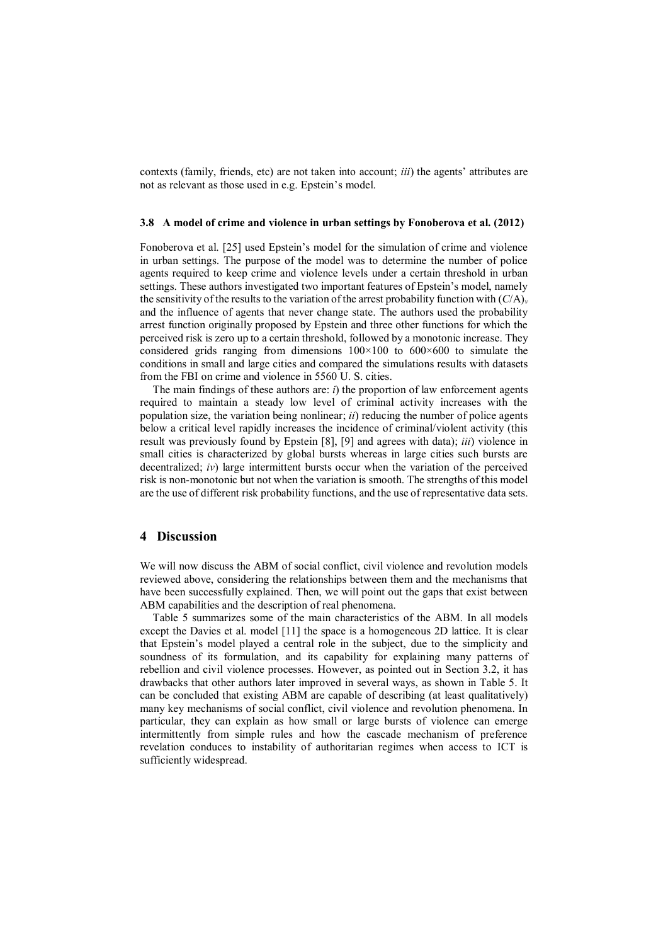contexts (family, friends, etc) are not taken into account; *iii*) the agents' attributes are not as relevant as those used in e.g. Epstein's model.

#### **3.8 A model of crime and violence in urban settings by Fonoberova et al. (2012)**

Fonoberova et al. [25] used Epstein's model for the simulation of crime and violence in urban settings. The purpose of the model was to determine the number of police agents required to keep crime and violence levels under a certain threshold in urban settings. These authors investigated two important features of Epstein's model, namely the sensitivity of the results to the variation of the arrest probability function with  $(C/A)_v$ and the influence of agents that never change state. The authors used the probability arrest function originally proposed by Epstein and three other functions for which the perceived risk is zero up to a certain threshold, followed by a monotonic increase. They considered grids ranging from dimensions 100×100 to 600×600 to simulate the conditions in small and large cities and compared the simulations results with datasets from the FBI on crime and violence in 5560 U. S. cities.

The main findings of these authors are: *i*) the proportion of law enforcement agents required to maintain a steady low level of criminal activity increases with the population size, the variation being nonlinear; *ii*) reducing the number of police agents below a critical level rapidly increases the incidence of criminal/violent activity (this result was previously found by Epstein [8], [9] and agrees with data); *iii*) violence in small cities is characterized by global bursts whereas in large cities such bursts are decentralized; *iv*) large intermittent bursts occur when the variation of the perceived risk is non-monotonic but not when the variation is smooth. The strengths of this model are the use of different risk probability functions, and the use of representative data sets.

# **4 Discussion**

We will now discuss the ABM of social conflict, civil violence and revolution models reviewed above, considering the relationships between them and the mechanisms that have been successfully explained. Then, we will point out the gaps that exist between ABM capabilities and the description of real phenomena.

Table 5 summarizes some of the main characteristics of the ABM. In all models except the Davies et al. model [11] the space is a homogeneous 2D lattice. It is clear that Epstein's model played a central role in the subject, due to the simplicity and soundness of its formulation, and its capability for explaining many patterns of rebellion and civil violence processes. However, as pointed out in Section 3.2, it has drawbacks that other authors later improved in several ways, as shown in Table 5. It can be concluded that existing ABM are capable of describing (at least qualitatively) many key mechanisms of social conflict, civil violence and revolution phenomena. In particular, they can explain as how small or large bursts of violence can emerge intermittently from simple rules and how the cascade mechanism of preference revelation conduces to instability of authoritarian regimes when access to ICT is sufficiently widespread.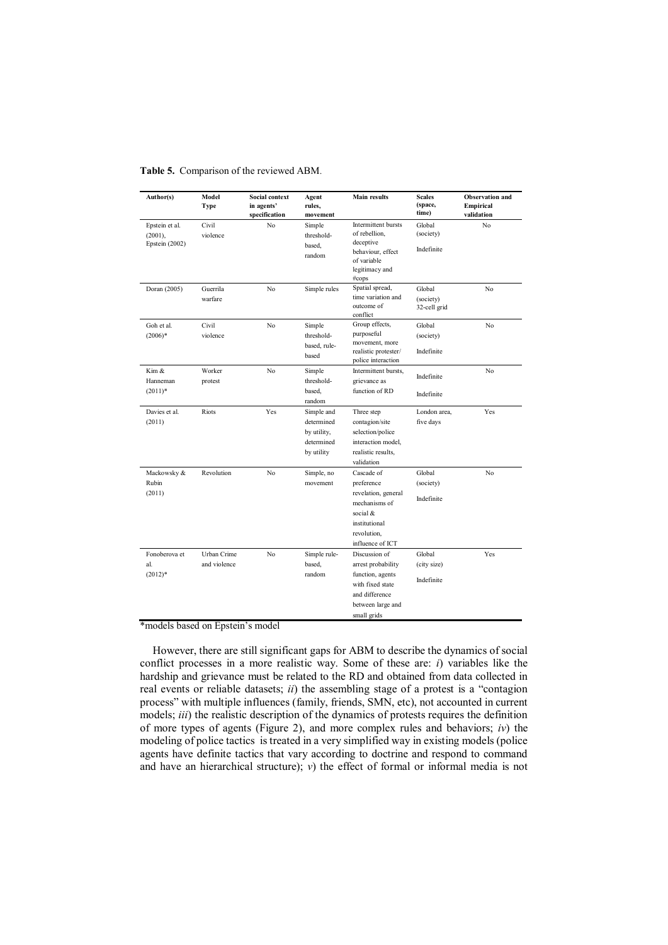| Author(s)                                        | Model<br>Type               | <b>Social context</b><br>in agents'<br>specification | Agent<br>rules,<br>movement                                         | <b>Main results</b>                                                                                                               | <b>Scales</b><br>(space,<br>time)   | <b>Observation</b> and<br>Empirical<br>validation |
|--------------------------------------------------|-----------------------------|------------------------------------------------------|---------------------------------------------------------------------|-----------------------------------------------------------------------------------------------------------------------------------|-------------------------------------|---------------------------------------------------|
| Epstein et al.<br>$(2001)$ ,<br>Epstein $(2002)$ | Civil<br>violence           | No                                                   | Simple<br>threshold-<br>based,<br>random                            | Intermittent bursts<br>of rebellion,<br>deceptive<br>behaviour, effect<br>of variable<br>legitimacy and<br>#cops                  | Global<br>(society)<br>Indefinite   | No                                                |
| Doran (2005)                                     | Guerrila<br>warfare         | No                                                   | Simple rules                                                        | Spatial spread,<br>time variation and<br>outcome of<br>conflict                                                                   | Global<br>(society)<br>32-cell grid | No                                                |
| Goh et al.<br>$(2006)*$                          | Civil<br>violence           | No                                                   | Simple<br>threshold-<br>based, rule-<br>based                       | Group effects,<br>purposeful<br>movement, more<br>realistic protester/                                                            | Global<br>(society)<br>Indefinite   | No                                                |
| Kim &<br>Hanneman<br>$(2011)^*$                  | Worker<br>protest           | No                                                   | Simple<br>threshold-<br>based.                                      | police interaction<br>Intermittent bursts,<br>grievance as<br>function of RD                                                      | Indefinite                          | No                                                |
|                                                  |                             |                                                      | random                                                              |                                                                                                                                   | Indefinite                          |                                                   |
| Davies et al.<br>(2011)                          | Riots                       | Yes                                                  | Simple and<br>determined<br>by utility,<br>determined<br>by utility | Three step<br>contagion/site<br>selection/police<br>interaction model,<br>realistic results,<br>validation                        | London area,<br>five days           | Yes                                               |
| Mackowsky &                                      | Revolution                  | No                                                   | Simple, no                                                          | Cascade of                                                                                                                        | Global                              | No                                                |
| Rubin<br>(2011)                                  |                             |                                                      | movement                                                            | preference<br>revelation, general<br>mechanisms of<br>social &<br>institutional<br>revolution,<br>influence of ICT                | (society)<br>Indefinite             |                                                   |
| Fonoberova et<br>al.<br>$(2012)*$                | Urban Crime<br>and violence | No                                                   | Simple rule-<br>based,<br>random                                    | Discussion of<br>arrest probability<br>function, agents<br>with fixed state<br>and difference<br>between large and<br>small grids | Global<br>(city size)<br>Indefinite | Yes                                               |

**Table 5.** Comparison of the reviewed ABM.

\*models based on Epstein's model

However, there are still significant gaps for ABM to describe the dynamics of social conflict processes in a more realistic way. Some of these are: *i*) variables like the hardship and grievance must be related to the RD and obtained from data collected in real events or reliable datasets; *ii*) the assembling stage of a protest is a "contagion process" with multiple influences (family, friends, SMN, etc), not accounted in current models; *iii*) the realistic description of the dynamics of protests requires the definition of more types of agents (Figure 2), and more complex rules and behaviors; *iv*) the modeling of police tactics is treated in a very simplified way in existing models (police agents have definite tactics that vary according to doctrine and respond to command and have an hierarchical structure); *v*) the effect of formal or informal media is not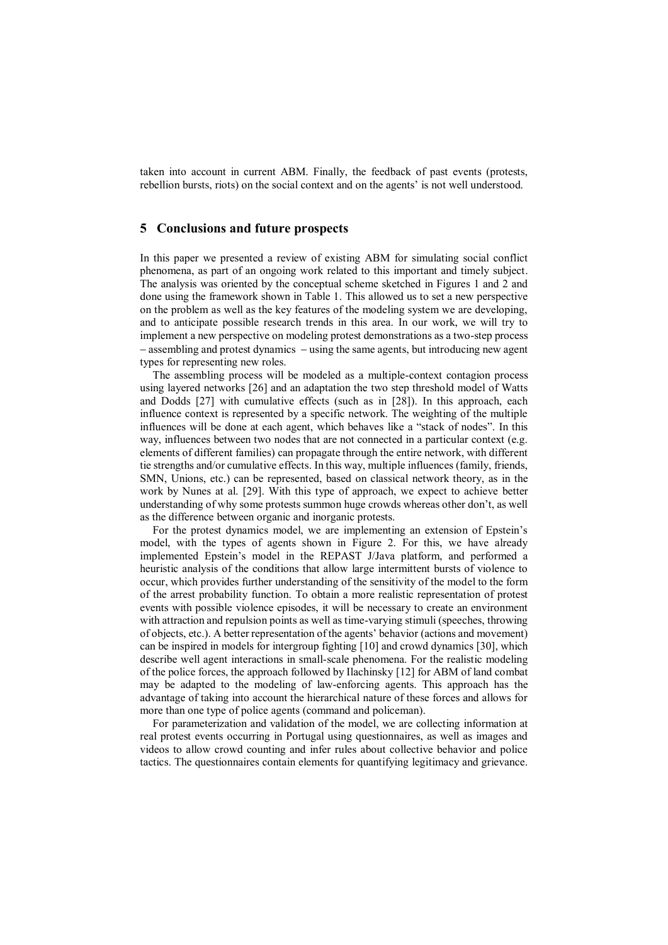taken into account in current ABM. Finally, the feedback of past events (protests, rebellion bursts, riots) on the social context and on the agents' is not well understood.

## **5 Conclusions and future prospects**

In this paper we presented a review of existing ABM for simulating social conflict phenomena, as part of an ongoing work related to this important and timely subject. The analysis was oriented by the conceptual scheme sketched in Figures 1 and 2 and done using the framework shown in Table 1. This allowed us to set a new perspective on the problem as well as the key features of the modeling system we are developing, and to anticipate possible research trends in this area. In our work, we will try to implement a new perspective on modeling protest demonstrations as a two-step process  $-$  assembling and protest dynamics  $-$  using the same agents, but introducing new agent types for representing new roles.

The assembling process will be modeled as a multiple-context contagion process using layered networks [26] and an adaptation the two step threshold model of Watts and Dodds [27] with cumulative effects (such as in [28]). In this approach, each influence context is represented by a specific network. The weighting of the multiple influences will be done at each agent, which behaves like a "stack of nodes". In this way, influences between two nodes that are not connected in a particular context (e.g. elements of different families) can propagate through the entire network, with different tie strengths and/or cumulative effects. In this way, multiple influences (family, friends, SMN, Unions, etc.) can be represented, based on classical network theory, as in the work by Nunes at al. [29]. With this type of approach, we expect to achieve better understanding of why some protests summon huge crowds whereas other don't, as well as the difference between organic and inorganic protests.

For the protest dynamics model, we are implementing an extension of Epstein's model, with the types of agents shown in Figure 2. For this, we have already implemented Epstein's model in the REPAST J/Java platform, and performed a heuristic analysis of the conditions that allow large intermittent bursts of violence to occur, which provides further understanding of the sensitivity of the model to the form of the arrest probability function. To obtain a more realistic representation of protest events with possible violence episodes, it will be necessary to create an environment with attraction and repulsion points as well as time-varying stimuli (speeches, throwing of objects, etc.). A better representation of the agents' behavior (actions and movement) can be inspired in models for intergroup fighting [10] and crowd dynamics [30], which describe well agent interactions in small-scale phenomena. For the realistic modeling of the police forces, the approach followed by Ilachinsky [12] for ABM of land combat may be adapted to the modeling of law-enforcing agents. This approach has the advantage of taking into account the hierarchical nature of these forces and allows for more than one type of police agents (command and policeman).

For parameterization and validation of the model, we are collecting information at real protest events occurring in Portugal using questionnaires, as well as images and videos to allow crowd counting and infer rules about collective behavior and police tactics. The questionnaires contain elements for quantifying legitimacy and grievance.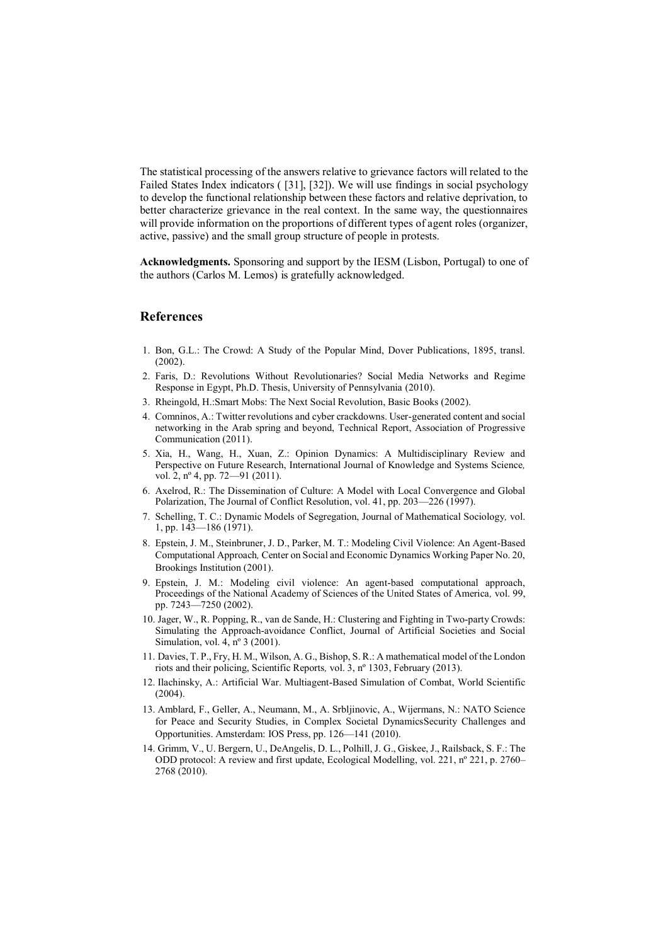The statistical processing of the answers relative to grievance factors will related to the Failed States Index indicators ( [31], [32]). We will use findings in social psychology to develop the functional relationship between these factors and relative deprivation, to better characterize grievance in the real context. In the same way, the questionnaires will provide information on the proportions of different types of agent roles (organizer, active, passive) and the small group structure of people in protests.

**Acknowledgments.** Sponsoring and support by the IESM (Lisbon, Portugal) to one of the authors (Carlos M. Lemos) is gratefully acknowledged.

# **References**

- 1. Bon, G.L.: The Crowd: A Study of the Popular Mind, Dover Publications, 1895, transl. (2002).
- 2. Faris, D.: Revolutions Without Revolutionaries? Social Media Networks and Regime Response in Egypt, Ph.D. Thesis, University of Pennsylvania (2010).
- 3. Rheingold, H.:Smart Mobs: The Next Social Revolution, Basic Books (2002).
- 4. Comninos, A.: Twitter revolutions and cyber crackdowns. User-generated content and social networking in the Arab spring and beyond, Technical Report, Association of Progressive Communication (2011).
- 5. Xia, H., Wang, H., Xuan, Z.: Opinion Dynamics: A Multidisciplinary Review and Perspective on Future Research, International Journal of Knowledge and Systems Science*,*  vol. 2, nº 4, pp. 72—91 (2011).
- 6. Axelrod, R.: The Dissemination of Culture: A Model with Local Convergence and Global Polarization, The Journal of Conflict Resolution, vol. 41, pp. 203—226 (1997).
- 7. Schelling, T. C.: Dynamic Models of Segregation, Journal of Mathematical Sociology*,* vol. 1, pp. 143—186 (1971).
- 8. Epstein, J. M., Steinbruner, J. D., Parker, M. T.: Modeling Civil Violence: An Agent-Based Computational Approach*,* Center on Social and Economic Dynamics Working Paper No. 20, Brookings Institution (2001).
- 9. Epstein, J. M.: Modeling civil violence: An agent-based computational approach, Proceedings of the National Academy of Sciences of the United States of America*,* vol. 99, pp. 7243—7250 (2002).
- 10. Jager, W., R. Popping, R., van de Sande, H.: Clustering and Fighting in Two-party Crowds: Simulating the Approach-avoidance Conflict, Journal of Artificial Societies and Social Simulation, vol. 4, nº 3 (2001).
- 11. Davies, T. P., Fry, H. M., Wilson, A. G., Bishop, S. R.: A mathematical model of the London riots and their policing, Scientific Reports*,* vol. 3, nº 1303, February (2013).
- 12. Ilachinsky, A.: Artificial War. Multiagent-Based Simulation of Combat, World Scientific (2004).
- 13. Amblard, F., Geller, A., Neumann, M., A. Srbljinovic, A., Wijermans, N.: NATO Science for Peace and Security Studies, in Complex Societal DynamicsSecurity Challenges and Opportunities. Amsterdam: IOS Press, pp. 126—141 (2010).
- 14. Grimm, V., U. Bergern, U., DeAngelis, D. L., Polhill, J. G., Giskee, J., Railsback, S. F.: The ODD protocol: A review and first update, Ecological Modelling, vol. 221, nº 221, p. 2760– 2768 (2010).